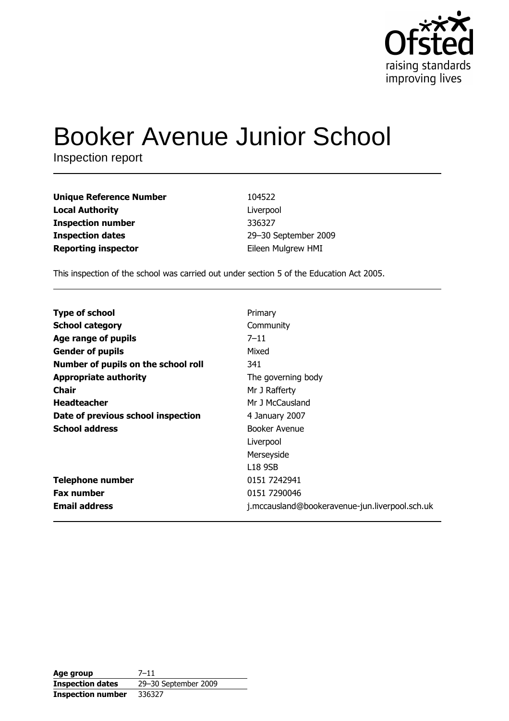

# **Booker Avenue Junior School**

Inspection report

| <b>Unique Reference Number</b> | 104522               |
|--------------------------------|----------------------|
| <b>Local Authority</b>         | Liverpool            |
| <b>Inspection number</b>       | 336327               |
| <b>Inspection dates</b>        | 29-30 September 2009 |
| <b>Reporting inspector</b>     | Eileen Mulgrew HMI   |

This inspection of the school was carried out under section 5 of the Education Act 2005.

| <b>Type of school</b>               | Primary                                        |
|-------------------------------------|------------------------------------------------|
| <b>School category</b>              | Community                                      |
| Age range of pupils                 | $7 - 11$                                       |
| <b>Gender of pupils</b>             | Mixed                                          |
| Number of pupils on the school roll | 341                                            |
| <b>Appropriate authority</b>        | The governing body                             |
| Chair                               | Mr J Rafferty                                  |
| <b>Headteacher</b>                  | Mr J McCausland                                |
| Date of previous school inspection  | 4 January 2007                                 |
| <b>School address</b>               | Booker Avenue                                  |
|                                     | Liverpool                                      |
|                                     | Merseyside                                     |
|                                     | L <sub>18</sub> 9SB                            |
| <b>Telephone number</b>             | 0151 7242941                                   |
| <b>Fax number</b>                   | 0151 7290046                                   |
| <b>Email address</b>                | j.mccausland@bookeravenue-jun.liverpool.sch.uk |

Age group  $7 - 11$ 29-30 September 2009 **Inspection dates Inspection number** 336327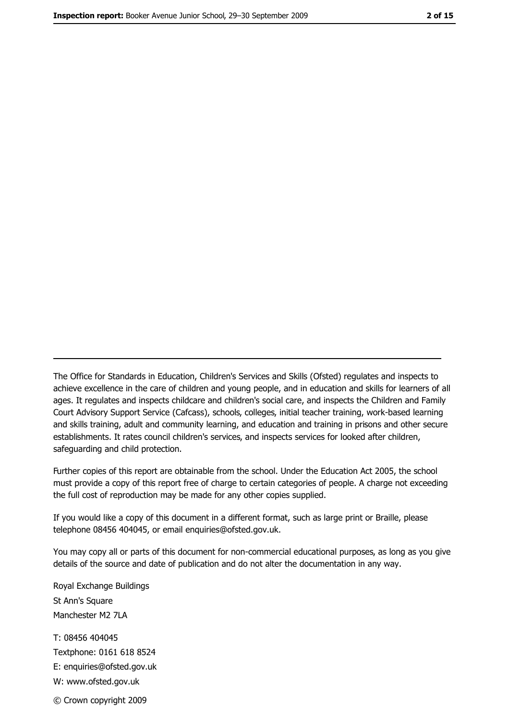The Office for Standards in Education, Children's Services and Skills (Ofsted) regulates and inspects to achieve excellence in the care of children and young people, and in education and skills for learners of all ages. It regulates and inspects childcare and children's social care, and inspects the Children and Family Court Advisory Support Service (Cafcass), schools, colleges, initial teacher training, work-based learning and skills training, adult and community learning, and education and training in prisons and other secure establishments. It rates council children's services, and inspects services for looked after children, safequarding and child protection.

Further copies of this report are obtainable from the school. Under the Education Act 2005, the school must provide a copy of this report free of charge to certain categories of people. A charge not exceeding the full cost of reproduction may be made for any other copies supplied.

If you would like a copy of this document in a different format, such as large print or Braille, please telephone 08456 404045, or email enquiries@ofsted.gov.uk.

You may copy all or parts of this document for non-commercial educational purposes, as long as you give details of the source and date of publication and do not alter the documentation in any way.

Royal Exchange Buildings St Ann's Square Manchester M2 7LA T: 08456 404045 Textphone: 0161 618 8524 E: enquiries@ofsted.gov.uk W: www.ofsted.gov.uk © Crown copyright 2009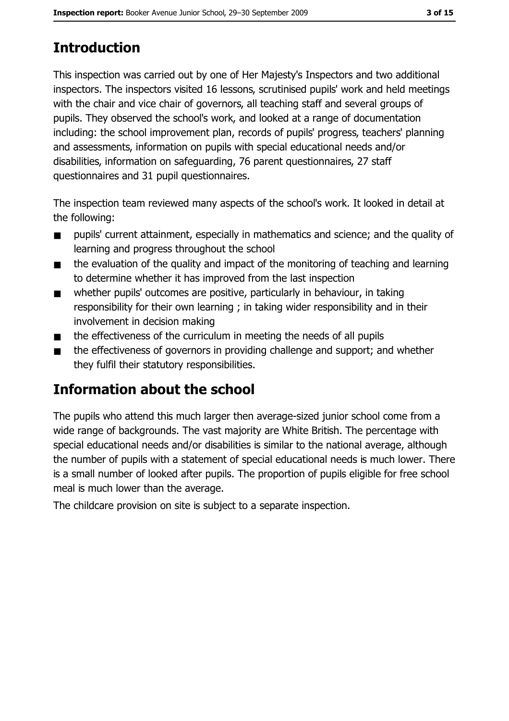# **Introduction**

This inspection was carried out by one of Her Majesty's Inspectors and two additional inspectors. The inspectors visited 16 lessons, scrutinised pupils' work and held meetings with the chair and vice chair of governors, all teaching staff and several groups of pupils. They observed the school's work, and looked at a range of documentation including: the school improvement plan, records of pupils' progress, teachers' planning and assessments, information on pupils with special educational needs and/or disabilities, information on safeguarding, 76 parent questionnaires, 27 staff questionnaires and 31 pupil questionnaires.

The inspection team reviewed many aspects of the school's work. It looked in detail at the following:

- pupils' current attainment, especially in mathematics and science; and the quality of  $\blacksquare$ learning and progress throughout the school
- the evaluation of the quality and impact of the monitoring of teaching and learning  $\blacksquare$ to determine whether it has improved from the last inspection
- whether pupils' outcomes are positive, particularly in behaviour, in taking  $\blacksquare$ responsibility for their own learning; in taking wider responsibility and in their involvement in decision making
- the effectiveness of the curriculum in meeting the needs of all pupils  $\blacksquare$
- the effectiveness of governors in providing challenge and support; and whether  $\blacksquare$ they fulfil their statutory responsibilities.

# Information about the school

The pupils who attend this much larger then average-sized junior school come from a wide range of backgrounds. The vast majority are White British. The percentage with special educational needs and/or disabilities is similar to the national average, although the number of pupils with a statement of special educational needs is much lower. There is a small number of looked after pupils. The proportion of pupils eligible for free school meal is much lower than the average.

The childcare provision on site is subject to a separate inspection.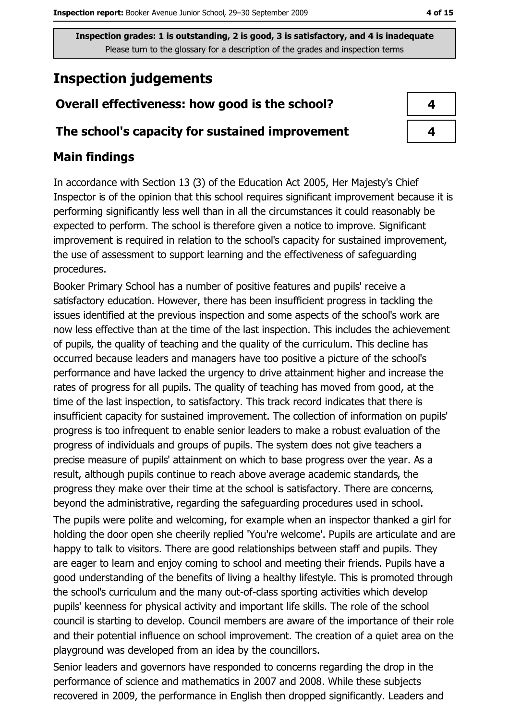# **Inspection judgements**

# Overall effectiveness: how good is the school?

## The school's capacity for sustained improvement

# **Main findings**

In accordance with Section 13 (3) of the Education Act 2005, Her Majesty's Chief Inspector is of the opinion that this school requires significant improvement because it is performing significantly less well than in all the circumstances it could reasonably be expected to perform. The school is therefore given a notice to improve. Significant improvement is required in relation to the school's capacity for sustained improvement, the use of assessment to support learning and the effectiveness of safeguarding procedures.

Booker Primary School has a number of positive features and pupils' receive a satisfactory education. However, there has been insufficient progress in tackling the issues identified at the previous inspection and some aspects of the school's work are now less effective than at the time of the last inspection. This includes the achievement of pupils, the quality of teaching and the quality of the curriculum. This decline has occurred because leaders and managers have too positive a picture of the school's performance and have lacked the urgency to drive attainment higher and increase the rates of progress for all pupils. The quality of teaching has moved from good, at the time of the last inspection, to satisfactory. This track record indicates that there is insufficient capacity for sustained improvement. The collection of information on pupils' progress is too infrequent to enable senior leaders to make a robust evaluation of the progress of individuals and groups of pupils. The system does not give teachers a precise measure of pupils' attainment on which to base progress over the year. As a result, although pupils continue to reach above average academic standards, the progress they make over their time at the school is satisfactory. There are concerns, beyond the administrative, regarding the safeguarding procedures used in school.

The pupils were polite and welcoming, for example when an inspector thanked a girl for holding the door open she cheerily replied 'You're welcome'. Pupils are articulate and are happy to talk to visitors. There are good relationships between staff and pupils. They are eager to learn and enjoy coming to school and meeting their friends. Pupils have a good understanding of the benefits of living a healthy lifestyle. This is promoted through the school's curriculum and the many out-of-class sporting activities which develop pupils' keenness for physical activity and important life skills. The role of the school council is starting to develop. Council members are aware of the importance of their role and their potential influence on school improvement. The creation of a quiet area on the playground was developed from an idea by the councillors.

Senior leaders and governors have responded to concerns regarding the drop in the performance of science and mathematics in 2007 and 2008. While these subjects recovered in 2009, the performance in English then dropped significantly. Leaders and

4

4

4 of 15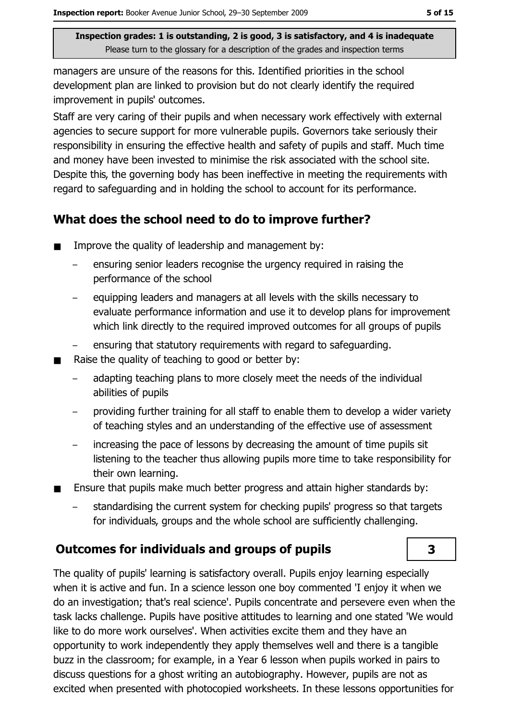managers are unsure of the reasons for this. Identified priorities in the school development plan are linked to provision but do not clearly identify the required improvement in pupils' outcomes.

Staff are very caring of their pupils and when necessary work effectively with external agencies to secure support for more vulnerable pupils. Governors take seriously their responsibility in ensuring the effective health and safety of pupils and staff. Much time and money have been invested to minimise the risk associated with the school site. Despite this, the governing body has been ineffective in meeting the requirements with regard to safeguarding and in holding the school to account for its performance.

## What does the school need to do to improve further?

- Improve the quality of leadership and management by:  $\blacksquare$ 
	- ensuring senior leaders recognise the urgency required in raising the performance of the school
	- equipping leaders and managers at all levels with the skills necessary to evaluate performance information and use it to develop plans for improvement which link directly to the required improved outcomes for all groups of pupils
	- ensuring that statutory requirements with regard to safeguarding.
- Raise the quality of teaching to good or better by:  $\blacksquare$ 
	- adapting teaching plans to more closely meet the needs of the individual abilities of pupils
	- providing further training for all staff to enable them to develop a wider variety of teaching styles and an understanding of the effective use of assessment
	- increasing the pace of lessons by decreasing the amount of time pupils sit  $\equiv$ listening to the teacher thus allowing pupils more time to take responsibility for their own learning.
- Ensure that pupils make much better progress and attain higher standards by:  $\blacksquare$ 
	- standardising the current system for checking pupils' progress so that targets for individuals, groups and the whole school are sufficiently challenging.

# **Outcomes for individuals and groups of pupils**

The quality of pupils' learning is satisfactory overall. Pupils enjoy learning especially when it is active and fun. In a science lesson one boy commented 'I enjoy it when we do an investigation; that's real science'. Pupils concentrate and persevere even when the task lacks challenge. Pupils have positive attitudes to learning and one stated 'We would like to do more work ourselves'. When activities excite them and they have an opportunity to work independently they apply themselves well and there is a tangible buzz in the classroom; for example, in a Year 6 lesson when pupils worked in pairs to discuss questions for a ghost writing an autobiography. However, pupils are not as excited when presented with photocopied worksheets. In these lessons opportunities for

 $\overline{\mathbf{3}}$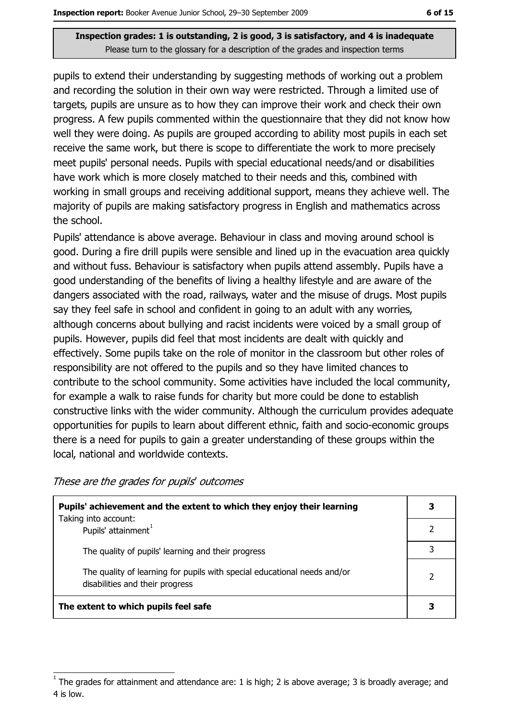pupils to extend their understanding by suggesting methods of working out a problem and recording the solution in their own way were restricted. Through a limited use of targets, pupils are unsure as to how they can improve their work and check their own progress. A few pupils commented within the questionnaire that they did not know how well they were doing. As pupils are grouped according to ability most pupils in each set receive the same work, but there is scope to differentiate the work to more precisely meet pupils' personal needs. Pupils with special educational needs/and or disabilities have work which is more closely matched to their needs and this, combined with working in small groups and receiving additional support, means they achieve well. The majority of pupils are making satisfactory progress in English and mathematics across the school.

Pupils' attendance is above average. Behaviour in class and moving around school is good. During a fire drill pupils were sensible and lined up in the evacuation area guickly and without fuss. Behaviour is satisfactory when pupils attend assembly. Pupils have a good understanding of the benefits of living a healthy lifestyle and are aware of the dangers associated with the road, railways, water and the misuse of drugs. Most pupils say they feel safe in school and confident in going to an adult with any worries, although concerns about bullying and racist incidents were voiced by a small group of pupils. However, pupils did feel that most incidents are dealt with quickly and effectively. Some pupils take on the role of monitor in the classroom but other roles of responsibility are not offered to the pupils and so they have limited chances to contribute to the school community. Some activities have included the local community, for example a walk to raise funds for charity but more could be done to establish constructive links with the wider community. Although the curriculum provides adequate opportunities for pupils to learn about different ethnic, faith and socio-economic groups there is a need for pupils to gain a greater understanding of these groups within the local, national and worldwide contexts.

These are the grades for pupils' outcomes

| Pupils' achievement and the extent to which they enjoy their learning                                       |  |
|-------------------------------------------------------------------------------------------------------------|--|
| Taking into account:<br>Pupils' attainment <sup>1</sup>                                                     |  |
| The quality of pupils' learning and their progress                                                          |  |
| The quality of learning for pupils with special educational needs and/or<br>disabilities and their progress |  |
| The extent to which pupils feel safe                                                                        |  |

The grades for attainment and attendance are: 1 is high; 2 is above average; 3 is broadly average; and 4 is low.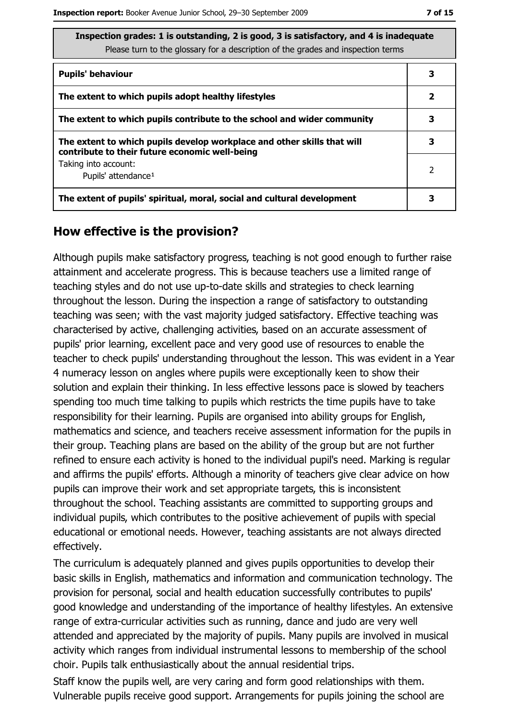ite

| Inspection grades: 1 is outstanding, 2 is good, 3 is satisfactory, and 4 is inadequa |
|--------------------------------------------------------------------------------------|
| Please turn to the glossary for a description of the grades and inspection terms     |

| <b>Pupils' behaviour</b>                                                                                                  | 3 |
|---------------------------------------------------------------------------------------------------------------------------|---|
| The extent to which pupils adopt healthy lifestyles                                                                       | 2 |
| The extent to which pupils contribute to the school and wider community                                                   |   |
| The extent to which pupils develop workplace and other skills that will<br>contribute to their future economic well-being | 3 |
| Taking into account:<br>Pupils' attendance <sup>1</sup>                                                                   | 2 |
| The extent of pupils' spiritual, moral, social and cultural development                                                   | 3 |

### How effective is the provision?

Although pupils make satisfactory progress, teaching is not good enough to further raise attainment and accelerate progress. This is because teachers use a limited range of teaching styles and do not use up-to-date skills and strategies to check learning throughout the lesson. During the inspection a range of satisfactory to outstanding teaching was seen; with the vast majority judged satisfactory. Effective teaching was characterised by active, challenging activities, based on an accurate assessment of pupils' prior learning, excellent pace and very good use of resources to enable the teacher to check pupils' understanding throughout the lesson. This was evident in a Year 4 numeracy lesson on angles where pupils were exceptionally keen to show their solution and explain their thinking. In less effective lessons pace is slowed by teachers spending too much time talking to pupils which restricts the time pupils have to take responsibility for their learning. Pupils are organised into ability groups for English, mathematics and science, and teachers receive assessment information for the pupils in their group. Teaching plans are based on the ability of the group but are not further refined to ensure each activity is honed to the individual pupil's need. Marking is regular and affirms the pupils' efforts. Although a minority of teachers give clear advice on how pupils can improve their work and set appropriate targets, this is inconsistent throughout the school. Teaching assistants are committed to supporting groups and individual pupils, which contributes to the positive achievement of pupils with special educational or emotional needs. However, teaching assistants are not always directed effectively.

The curriculum is adequately planned and gives pupils opportunities to develop their basic skills in English, mathematics and information and communication technology. The provision for personal, social and health education successfully contributes to pupils' good knowledge and understanding of the importance of healthy lifestyles. An extensive range of extra-curricular activities such as running, dance and judo are very well attended and appreciated by the majority of pupils. Many pupils are involved in musical activity which ranges from individual instrumental lessons to membership of the school choir. Pupils talk enthusiastically about the annual residential trips.

Staff know the pupils well, are very caring and form good relationships with them. Vulnerable pupils receive good support. Arrangements for pupils joining the school are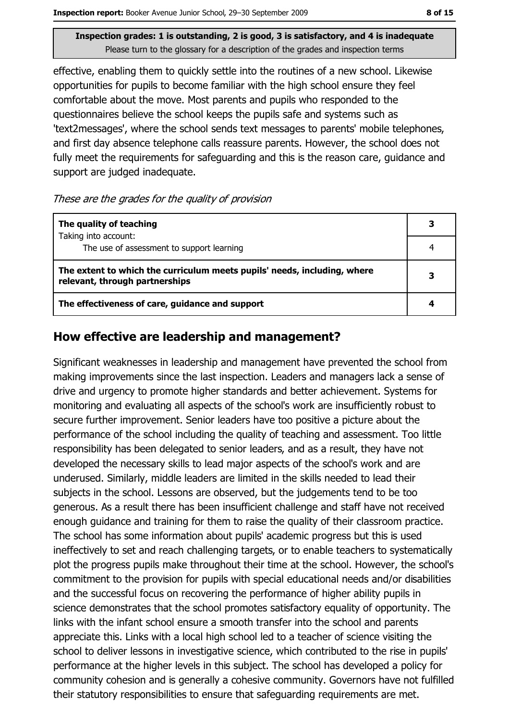effective, enabling them to quickly settle into the routines of a new school. Likewise opportunities for pupils to become familiar with the high school ensure they feel comfortable about the move. Most parents and pupils who responded to the questionnaires believe the school keeps the pupils safe and systems such as 'text2messages', where the school sends text messages to parents' mobile telephones, and first day absence telephone calls reassure parents. However, the school does not fully meet the requirements for safequarding and this is the reason care, quidance and support are judged inadequate.

#### These are the grades for the quality of provision

| The quality of teaching                                                                                    | 3 |
|------------------------------------------------------------------------------------------------------------|---|
| Taking into account:<br>The use of assessment to support learning                                          |   |
| The extent to which the curriculum meets pupils' needs, including, where<br>relevant, through partnerships |   |
| The effectiveness of care, guidance and support                                                            |   |

## How effective are leadership and management?

Significant weaknesses in leadership and management have prevented the school from making improvements since the last inspection. Leaders and managers lack a sense of drive and urgency to promote higher standards and better achievement. Systems for monitoring and evaluating all aspects of the school's work are insufficiently robust to secure further improvement. Senior leaders have too positive a picture about the performance of the school including the quality of teaching and assessment. Too little responsibility has been delegated to senior leaders, and as a result, they have not developed the necessary skills to lead major aspects of the school's work and are underused. Similarly, middle leaders are limited in the skills needed to lead their subjects in the school. Lessons are observed, but the judgements tend to be too generous. As a result there has been insufficient challenge and staff have not received enough quidance and training for them to raise the quality of their classroom practice. The school has some information about pupils' academic progress but this is used ineffectively to set and reach challenging targets, or to enable teachers to systematically plot the progress pupils make throughout their time at the school. However, the school's commitment to the provision for pupils with special educational needs and/or disabilities and the successful focus on recovering the performance of higher ability pupils in science demonstrates that the school promotes satisfactory equality of opportunity. The links with the infant school ensure a smooth transfer into the school and parents appreciate this. Links with a local high school led to a teacher of science visiting the school to deliver lessons in investigative science, which contributed to the rise in pupils' performance at the higher levels in this subject. The school has developed a policy for community cohesion and is generally a cohesive community. Governors have not fulfilled their statutory responsibilities to ensure that safeguarding requirements are met.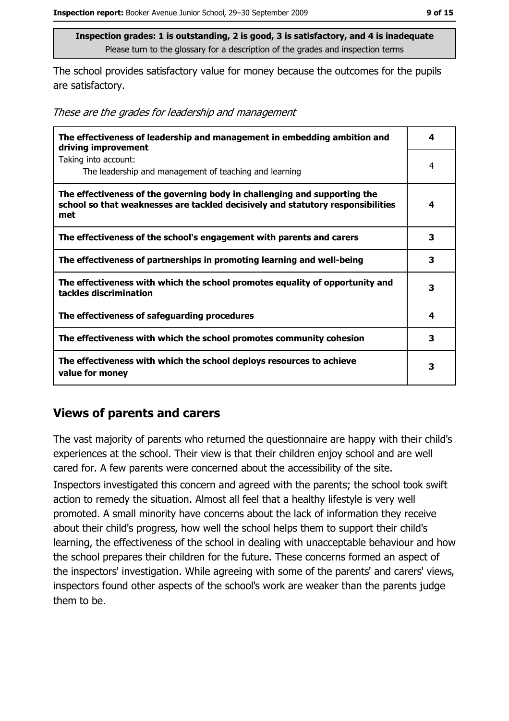The school provides satisfactory value for money because the outcomes for the pupils are satisfactory.

These are the grades for leadership and management

| The effectiveness of leadership and management in embedding ambition and<br>driving improvement                                                                     |   |
|---------------------------------------------------------------------------------------------------------------------------------------------------------------------|---|
| Taking into account:<br>The leadership and management of teaching and learning                                                                                      | 4 |
| The effectiveness of the governing body in challenging and supporting the<br>school so that weaknesses are tackled decisively and statutory responsibilities<br>met | 4 |
| The effectiveness of the school's engagement with parents and carers                                                                                                | 3 |
| The effectiveness of partnerships in promoting learning and well-being                                                                                              | 3 |
| The effectiveness with which the school promotes equality of opportunity and<br>tackles discrimination                                                              | 3 |
| The effectiveness of safeguarding procedures                                                                                                                        | 4 |
| The effectiveness with which the school promotes community cohesion                                                                                                 | 3 |
| The effectiveness with which the school deploys resources to achieve<br>value for money                                                                             |   |

# **Views of parents and carers**

The vast majority of parents who returned the questionnaire are happy with their child's experiences at the school. Their view is that their children enjoy school and are well cared for. A few parents were concerned about the accessibility of the site. Inspectors investigated this concern and agreed with the parents; the school took swift action to remedy the situation. Almost all feel that a healthy lifestyle is very well promoted. A small minority have concerns about the lack of information they receive about their child's progress, how well the school helps them to support their child's learning, the effectiveness of the school in dealing with unacceptable behaviour and how the school prepares their children for the future. These concerns formed an aspect of the inspectors' investigation. While agreeing with some of the parents' and carers' views, inspectors found other aspects of the school's work are weaker than the parents judge them to be.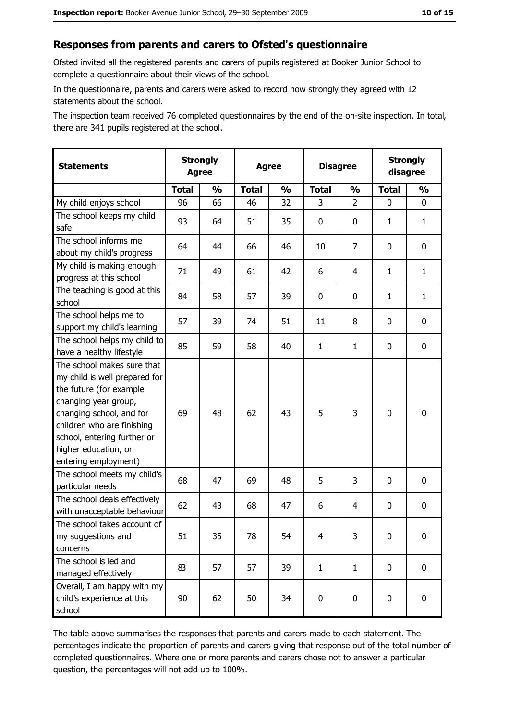#### Responses from parents and carers to Ofsted's questionnaire

Ofsted invited all the registered parents and carers of pupils registered at Booker Junior School to complete a questionnaire about their views of the school.

In the questionnaire, parents and carers were asked to record how strongly they agreed with 12 statements about the school.

The inspection team received 76 completed questionnaires by the end of the on-site inspection. In total, there are 341 pupils registered at the school.

| <b>Statements</b>                                                                                                                                                                                                                                       | <b>Strongly</b><br><b>Agree</b> |               | <b>Agree</b> |               | <b>Disagree</b> |                | <b>Strongly</b><br>disagree |               |
|---------------------------------------------------------------------------------------------------------------------------------------------------------------------------------------------------------------------------------------------------------|---------------------------------|---------------|--------------|---------------|-----------------|----------------|-----------------------------|---------------|
|                                                                                                                                                                                                                                                         | <b>Total</b>                    | $\frac{1}{2}$ | <b>Total</b> | $\frac{0}{0}$ | <b>Total</b>    | $\frac{1}{2}$  | <b>Total</b>                | $\frac{1}{2}$ |
| My child enjoys school                                                                                                                                                                                                                                  | 96                              | 66            | 46           | 32            | 3               | $\overline{2}$ | 0                           | 0             |
| The school keeps my child<br>safe                                                                                                                                                                                                                       | 93                              | 64            | 51           | 35            | $\mathbf 0$     | 0              | 1                           | $\mathbf{1}$  |
| The school informs me<br>about my child's progress                                                                                                                                                                                                      | 64                              | 44            | 66           | 46            | 10              | $\overline{7}$ | 0                           | 0             |
| My child is making enough<br>progress at this school                                                                                                                                                                                                    | 71                              | 49            | 61           | 42            | 6               | 4              | 1                           | $\mathbf{1}$  |
| The teaching is good at this<br>school                                                                                                                                                                                                                  | 84                              | 58            | 57           | 39            | 0               | 0              | 1                           | $\mathbf{1}$  |
| The school helps me to<br>support my child's learning                                                                                                                                                                                                   | 57                              | 39            | 74           | 51            | 11              | 8              | 0                           | 0             |
| The school helps my child to<br>have a healthy lifestyle                                                                                                                                                                                                | 85                              | 59            | 58           | 40            | $\mathbf{1}$    | $\mathbf{1}$   | 0                           | $\mathbf 0$   |
| The school makes sure that<br>my child is well prepared for<br>the future (for example<br>changing year group,<br>changing school, and for<br>children who are finishing<br>school, entering further or<br>higher education, or<br>entering employment) | 69                              | 48            | 62           | 43            | 5               | 3              | $\mathbf 0$                 | $\mathbf 0$   |
| The school meets my child's<br>particular needs                                                                                                                                                                                                         | 68                              | 47            | 69           | 48            | 5               | 3              | 0                           | 0             |
| The school deals effectively<br>with unacceptable behaviour                                                                                                                                                                                             | 62                              | 43            | 68           | 47            | 6               | 4              | 0                           | $\bf{0}$      |
| The school takes account of<br>my suggestions and<br>concerns                                                                                                                                                                                           | 51                              | 35            | 78           | 54            | $\overline{4}$  | 3              | 0                           | $\bf{0}$      |
| The school is led and<br>managed effectively                                                                                                                                                                                                            | 83                              | 57            | 57           | 39            | $\mathbf{1}$    | $\mathbf{1}$   | $\mathbf 0$                 | $\mathbf 0$   |
| Overall, I am happy with my<br>child's experience at this<br>school                                                                                                                                                                                     | 90                              | 62            | 50           | 34            | $\mathbf 0$     | $\mathbf 0$    | $\mathbf 0$                 | $\mathbf 0$   |

The table above summarises the responses that parents and carers made to each statement. The percentages indicate the proportion of parents and carers giving that response out of the total number of completed questionnaires. Where one or more parents and carers chose not to answer a particular question, the percentages will not add up to 100%.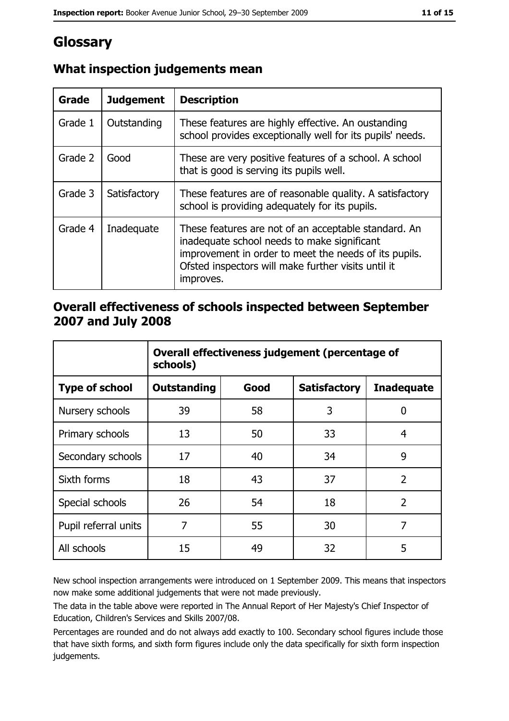# Glossary

| Grade   | <b>Judgement</b> | <b>Description</b>                                                                                                                                                                                                               |  |
|---------|------------------|----------------------------------------------------------------------------------------------------------------------------------------------------------------------------------------------------------------------------------|--|
| Grade 1 | Outstanding      | These features are highly effective. An oustanding<br>school provides exceptionally well for its pupils' needs.                                                                                                                  |  |
| Grade 2 | Good             | These are very positive features of a school. A school<br>that is good is serving its pupils well.                                                                                                                               |  |
| Grade 3 | Satisfactory     | These features are of reasonable quality. A satisfactory<br>school is providing adequately for its pupils.                                                                                                                       |  |
| Grade 4 | Inadequate       | These features are not of an acceptable standard. An<br>inadequate school needs to make significant<br>improvement in order to meet the needs of its pupils.<br>Ofsted inspectors will make further visits until it<br>improves. |  |

# What inspection judgements mean

## Overall effectiveness of schools inspected between September 2007 and July 2008

|                       | Overall effectiveness judgement (percentage of<br>schools) |      |                     |                   |
|-----------------------|------------------------------------------------------------|------|---------------------|-------------------|
| <b>Type of school</b> | Outstanding                                                | Good | <b>Satisfactory</b> | <b>Inadequate</b> |
| Nursery schools       | 39                                                         | 58   | 3                   | 0                 |
| Primary schools       | 13                                                         | 50   | 33                  | 4                 |
| Secondary schools     | 17                                                         | 40   | 34                  | 9                 |
| Sixth forms           | 18                                                         | 43   | 37                  | $\overline{2}$    |
| Special schools       | 26                                                         | 54   | 18                  | $\overline{2}$    |
| Pupil referral units  | 7                                                          | 55   | 30                  | 7                 |
| All schools           | 15                                                         | 49   | 32                  | 5                 |

New school inspection arrangements were introduced on 1 September 2009. This means that inspectors now make some additional judgements that were not made previously.

The data in the table above were reported in The Annual Report of Her Majesty's Chief Inspector of Education, Children's Services and Skills 2007/08.

Percentages are rounded and do not always add exactly to 100. Secondary school figures include those that have sixth forms, and sixth form figures include only the data specifically for sixth form inspection judgements.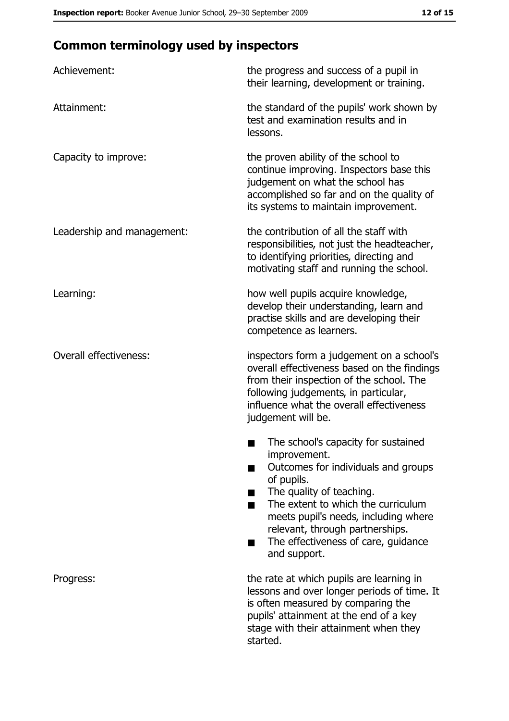# **Common terminology used by inspectors**

| Achievement:                  | the progress and success of a pupil in<br>their learning, development or training.                                                                                                                                                                                                                           |
|-------------------------------|--------------------------------------------------------------------------------------------------------------------------------------------------------------------------------------------------------------------------------------------------------------------------------------------------------------|
| Attainment:                   | the standard of the pupils' work shown by<br>test and examination results and in<br>lessons.                                                                                                                                                                                                                 |
| Capacity to improve:          | the proven ability of the school to<br>continue improving. Inspectors base this<br>judgement on what the school has<br>accomplished so far and on the quality of<br>its systems to maintain improvement.                                                                                                     |
| Leadership and management:    | the contribution of all the staff with<br>responsibilities, not just the headteacher,<br>to identifying priorities, directing and<br>motivating staff and running the school.                                                                                                                                |
| Learning:                     | how well pupils acquire knowledge,<br>develop their understanding, learn and<br>practise skills and are developing their<br>competence as learners.                                                                                                                                                          |
| <b>Overall effectiveness:</b> | inspectors form a judgement on a school's<br>overall effectiveness based on the findings<br>from their inspection of the school. The<br>following judgements, in particular,<br>influence what the overall effectiveness<br>judgement will be.                                                               |
|                               | The school's capacity for sustained<br>improvement.<br>Outcomes for individuals and groups<br>of pupils.<br>The quality of teaching.<br>The extent to which the curriculum<br>meets pupil's needs, including where<br>relevant, through partnerships.<br>The effectiveness of care, guidance<br>and support. |
| Progress:                     | the rate at which pupils are learning in<br>lessons and over longer periods of time. It<br>is often measured by comparing the<br>pupils' attainment at the end of a key<br>stage with their attainment when they<br>started.                                                                                 |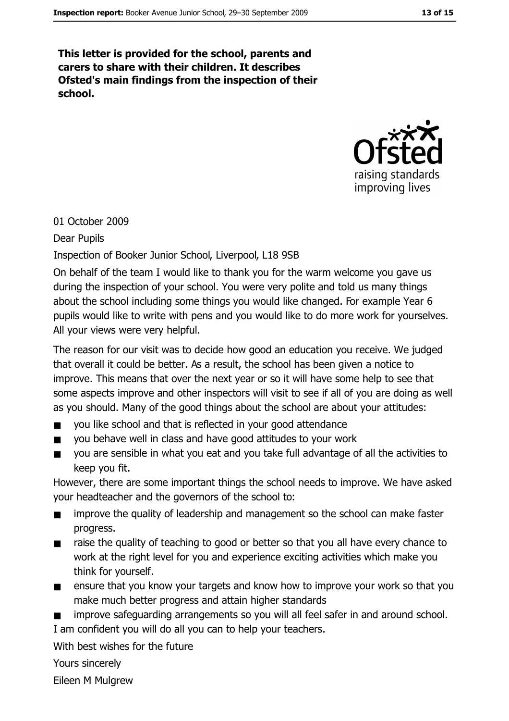This letter is provided for the school, parents and carers to share with their children. It describes Ofsted's main findings from the inspection of their school.



#### 01 October 2009

**Dear Pupils** 

Inspection of Booker Junior School, Liverpool, L18 9SB

On behalf of the team I would like to thank you for the warm welcome you gave us during the inspection of your school. You were very polite and told us many things about the school including some things you would like changed. For example Year 6 pupils would like to write with pens and you would like to do more work for yourselves. All your views were very helpful.

The reason for our visit was to decide how good an education you receive. We judged that overall it could be better. As a result, the school has been given a notice to improve. This means that over the next year or so it will have some help to see that some aspects improve and other inspectors will visit to see if all of you are doing as well as you should. Many of the good things about the school are about your attitudes:

- you like school and that is reflected in your good attendance  $\blacksquare$
- you behave well in class and have good attitudes to your work  $\blacksquare$
- you are sensible in what you eat and you take full advantage of all the activities to  $\blacksquare$ keep you fit.

However, there are some important things the school needs to improve. We have asked your headteacher and the governors of the school to:

- improve the quality of leadership and management so the school can make faster  $\blacksquare$ progress.
- raise the quality of teaching to good or better so that you all have every chance to  $\blacksquare$ work at the right level for you and experience exciting activities which make you think for yourself.
- ensure that you know your targets and know how to improve your work so that you  $\blacksquare$ make much better progress and attain higher standards

improve safeguarding arrangements so you will all feel safer in and around school. I am confident you will do all you can to help your teachers.

With best wishes for the future

Yours sincerely

Eileen M Mulgrew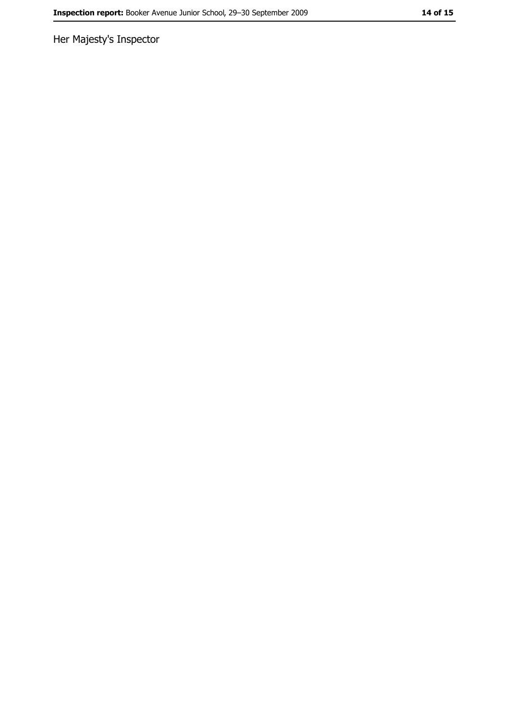Her Majesty's Inspector